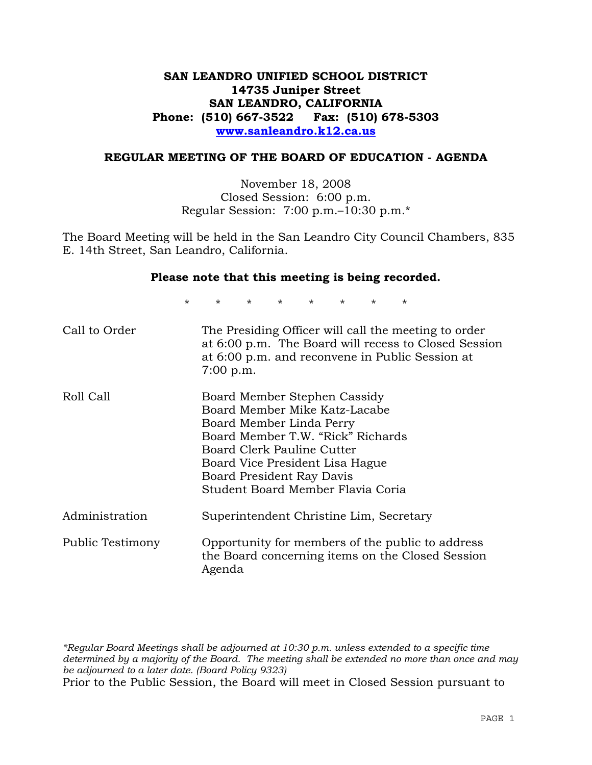## **SAN LEANDRO UNIFIED SCHOOL DISTRICT 14735 Juniper Street SAN LEANDRO, CALIFORNIA Phone: (510) 667-3522 Fax: (510) 678-5303 www.sanleandro.k12.ca.us**

#### **REGULAR MEETING OF THE BOARD OF EDUCATION - AGENDA**

November 18, 2008 Closed Session: 6:00 p.m. Regular Session: 7:00 p.m.–10:30 p.m.\*

The Board Meeting will be held in the San Leandro City Council Chambers, 835 E. 14th Street, San Leandro, California.

#### **Please note that this meeting is being recorded.**

\* \* \* \* \* \* \* \*

| Call to Order    | The Presiding Officer will call the meeting to order<br>at 6:00 p.m. The Board will recess to Closed Session<br>at 6:00 p.m. and reconvene in Public Session at<br>$7:00$ p.m.                                                                                    |
|------------------|-------------------------------------------------------------------------------------------------------------------------------------------------------------------------------------------------------------------------------------------------------------------|
| Roll Call        | Board Member Stephen Cassidy<br>Board Member Mike Katz-Lacabe<br>Board Member Linda Perry<br>Board Member T.W. "Rick" Richards<br>Board Clerk Pauline Cutter<br>Board Vice President Lisa Hague<br>Board President Ray Davis<br>Student Board Member Flavia Coria |
| Administration   | Superintendent Christine Lim, Secretary                                                                                                                                                                                                                           |
| Public Testimony | Opportunity for members of the public to address<br>the Board concerning items on the Closed Session<br>Agenda                                                                                                                                                    |

*\*Regular Board Meetings shall be adjourned at 10:30 p.m. unless extended to a specific time determined by a majority of the Board. The meeting shall be extended no more than once and may be adjourned to a later date. (Board Policy 9323)*  Prior to the Public Session, the Board will meet in Closed Session pursuant to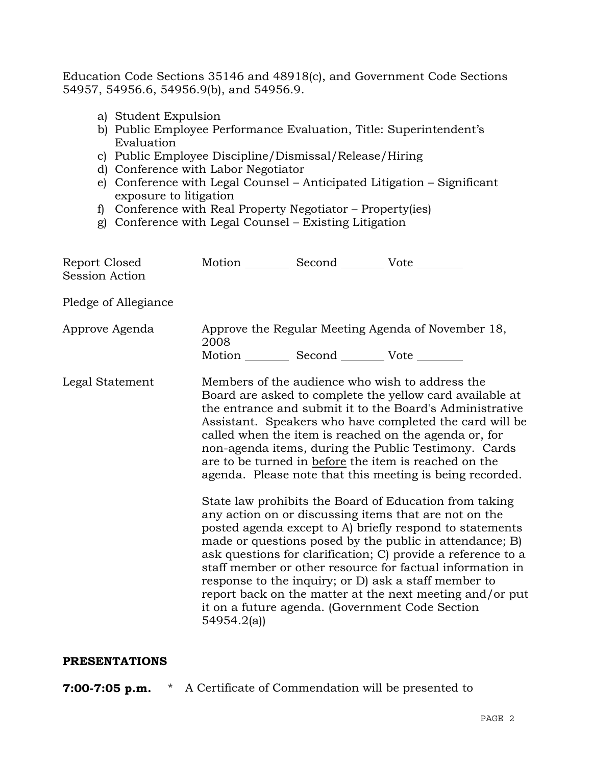Education Code Sections 35146 and 48918(c), and Government Code Sections 54957, 54956.6, 54956.9(b), and 54956.9.

- a) Student Expulsion
- b) Public Employee Performance Evaluation, Title: Superintendent's Evaluation
- c) Public Employee Discipline/Dismissal/Release/Hiring
- d) Conference with Labor Negotiator
- e) Conference with Legal Counsel Anticipated Litigation Significant exposure to litigation
- f) Conference with Real Property Negotiator Property(ies)
- g) Conference with Legal Counsel Existing Litigation

| Report Closed<br>Session Action | Motion __________ Second __________ Vote ________             |                                                                                                                                                                                                                                                                                                                                                                                                                                                                                                                                                                                                                                                                                                                                                                                                                                                                                                                                                                                                                        |
|---------------------------------|---------------------------------------------------------------|------------------------------------------------------------------------------------------------------------------------------------------------------------------------------------------------------------------------------------------------------------------------------------------------------------------------------------------------------------------------------------------------------------------------------------------------------------------------------------------------------------------------------------------------------------------------------------------------------------------------------------------------------------------------------------------------------------------------------------------------------------------------------------------------------------------------------------------------------------------------------------------------------------------------------------------------------------------------------------------------------------------------|
| Pledge of Allegiance            |                                                               |                                                                                                                                                                                                                                                                                                                                                                                                                                                                                                                                                                                                                                                                                                                                                                                                                                                                                                                                                                                                                        |
| Approve Agenda                  | 2008<br>Motion ___________ Second ____________ Vote _________ | Approve the Regular Meeting Agenda of November 18,                                                                                                                                                                                                                                                                                                                                                                                                                                                                                                                                                                                                                                                                                                                                                                                                                                                                                                                                                                     |
| Legal Statement                 | 54954.2(a)                                                    | Members of the audience who wish to address the<br>Board are asked to complete the yellow card available at<br>the entrance and submit it to the Board's Administrative<br>Assistant. Speakers who have completed the card will be<br>called when the item is reached on the agenda or, for<br>non-agenda items, during the Public Testimony. Cards<br>are to be turned in before the item is reached on the<br>agenda. Please note that this meeting is being recorded.<br>State law prohibits the Board of Education from taking<br>any action on or discussing items that are not on the<br>posted agenda except to A) briefly respond to statements<br>made or questions posed by the public in attendance; B)<br>ask questions for clarification; C) provide a reference to a<br>staff member or other resource for factual information in<br>response to the inquiry; or D) ask a staff member to<br>report back on the matter at the next meeting and/or put<br>it on a future agenda. (Government Code Section |

#### **PRESENTATIONS**

**7:00-7:05 p.m.** \* A Certificate of Commendation will be presented to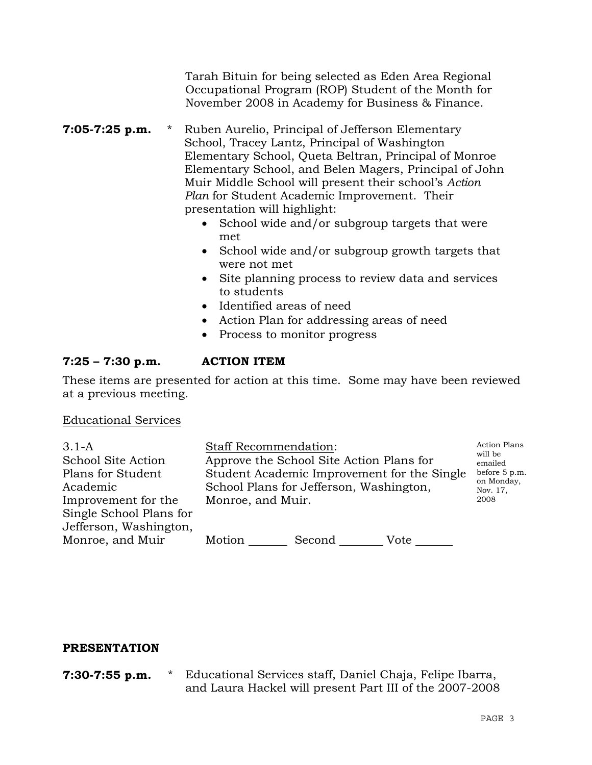Tarah Bituin for being selected as Eden Area Regional Occupational Program (ROP) Student of the Month for November 2008 in Academy for Business & Finance.

- **7:05-7:25 p.m.** \* Ruben Aurelio, Principal of Jefferson Elementary School, Tracey Lantz, Principal of Washington Elementary School, Queta Beltran, Principal of Monroe Elementary School, and Belen Magers, Principal of John Muir Middle School will present their school's *Action Plan* for Student Academic Improvement. Their presentation will highlight:
	- School wide and/or subgroup targets that were met
	- School wide and/or subgroup growth targets that were not met
	- Site planning process to review data and services to students
	- Identified areas of need
	- Action Plan for addressing areas of need
	- Process to monitor progress

## **7:25 – 7:30 p.m. ACTION ITEM**

These items are presented for action at this time. Some may have been reviewed at a previous meeting.

Educational Services

| $3.1 - A$               | <b>Staff Recommendation:</b>                | <b>Action Plans</b>    |
|-------------------------|---------------------------------------------|------------------------|
| School Site Action      | Approve the School Site Action Plans for    | will be<br>emailed     |
| Plans for Student       | Student Academic Improvement for the Single | before 5 p.m.          |
| Academic                | School Plans for Jefferson, Washington,     | on Monday,<br>Nov. 17, |
| Improvement for the     | Monroe, and Muir.                           | 2008                   |
| Single School Plans for |                                             |                        |
| Jefferson, Washington,  |                                             |                        |
| Monroe, and Muir        | Motion<br>Second<br>Vote                    |                        |

## **PRESENTATION**

**7:30-7:55 p.m.** \* Educational Services staff, Daniel Chaja, Felipe Ibarra, and Laura Hackel will present Part III of the 2007-2008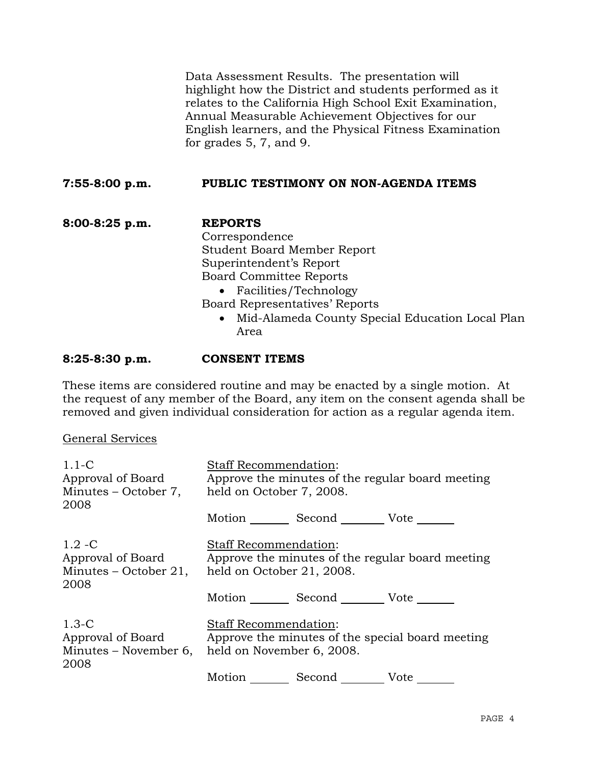Data Assessment Results. The presentation will highlight how the District and students performed as it relates to the California High School Exit Examination, Annual Measurable Achievement Objectives for our English learners, and the Physical Fitness Examination for grades 5, 7, and 9.

### **7:55-8:00 p.m. PUBLIC TESTIMONY ON NON-AGENDA ITEMS**

**8:00-8:25 p.m. REPORTS** Correspondence Student Board Member Report Superintendent's Report Board Committee Reports • Facilities/Technology Board Representatives' Reports

• Mid-Alameda County Special Education Local Plan Area

#### **8:25-8:30 p.m. CONSENT ITEMS**

These items are considered routine and may be enacted by a single motion. At the request of any member of the Board, any item on the consent agenda shall be removed and given individual consideration for action as a regular agenda item.

#### General Services

| $1.1-C$<br>Approval of Board<br>Minutes – October 7,<br>2008    | <b>Staff Recommendation:</b><br>Approve the minutes of the regular board meeting<br>held on October 7, 2008.                        |  |
|-----------------------------------------------------------------|-------------------------------------------------------------------------------------------------------------------------------------|--|
|                                                                 | Motion _________ Second __________ Vote _______                                                                                     |  |
| $1.2 - C$<br>Approval of Board<br>Minutes – October 21,<br>2008 | <b>Staff Recommendation:</b><br>Approve the minutes of the regular board meeting<br>held on October 21, 2008.                       |  |
|                                                                 | Motion Second Vote                                                                                                                  |  |
| $1.3-C$<br>Approval of Board<br>2008                            | <b>Staff Recommendation:</b><br>Approve the minutes of the special board meeting<br>Minutes – November 6, held on November 6, 2008. |  |
|                                                                 | Motion Second Vote                                                                                                                  |  |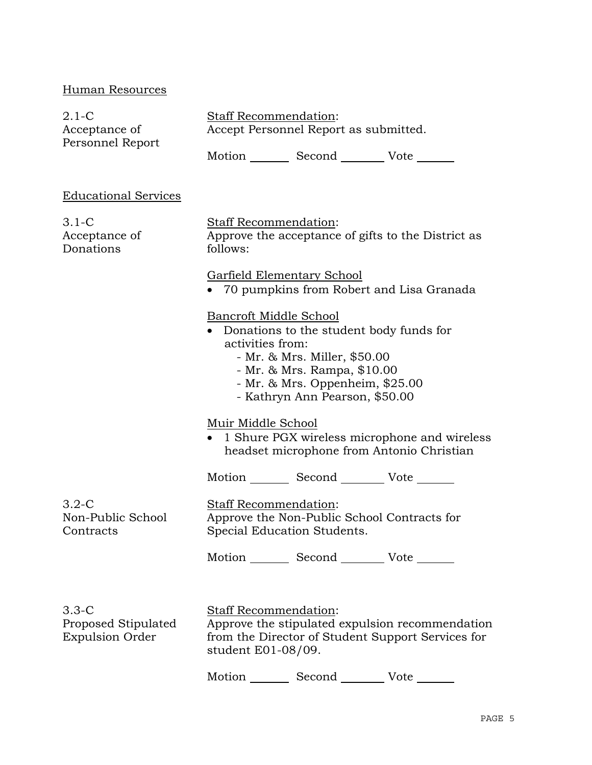## Human Resources

| $2.1-C$                                                  | <b>Staff Recommendation:</b>                                                                                                                                                                                              |  |
|----------------------------------------------------------|---------------------------------------------------------------------------------------------------------------------------------------------------------------------------------------------------------------------------|--|
| Acceptance of<br>Personnel Report                        | Accept Personnel Report as submitted.                                                                                                                                                                                     |  |
|                                                          | Motion _________ Second __________ Vote _______                                                                                                                                                                           |  |
| <b>Educational Services</b>                              |                                                                                                                                                                                                                           |  |
| $3.1-C$<br>Acceptance of<br>Donations                    | <b>Staff Recommendation:</b><br>Approve the acceptance of gifts to the District as<br>follows:                                                                                                                            |  |
|                                                          | Garfield Elementary School<br>• 70 pumpkins from Robert and Lisa Granada                                                                                                                                                  |  |
|                                                          | Bancroft Middle School<br>Donations to the student body funds for<br>activities from:<br>- Mr. & Mrs. Miller, \$50.00<br>- Mr. & Mrs. Rampa, \$10.00<br>- Mr. & Mrs. Oppenheim, \$25.00<br>- Kathryn Ann Pearson, \$50.00 |  |
|                                                          | Muir Middle School<br>• 1 Shure PGX wireless microphone and wireless<br>headset microphone from Antonio Christian                                                                                                         |  |
|                                                          | Motion _________ Second __________ Vote _______                                                                                                                                                                           |  |
| $3.2-C$<br>Non-Public School<br>Contracts                | <b>Staff Recommendation:</b><br>Approve the Non-Public School Contracts for<br>Special Education Students.                                                                                                                |  |
|                                                          | Motion _________ Second _________ Vote _______                                                                                                                                                                            |  |
| $3.3-C$<br>Proposed Stipulated<br><b>Expulsion Order</b> | <b>Staff Recommendation:</b><br>Approve the stipulated expulsion recommendation<br>from the Director of Student Support Services for<br>student E01-08/09.                                                                |  |

Motion Second Vote \_\_\_\_\_\_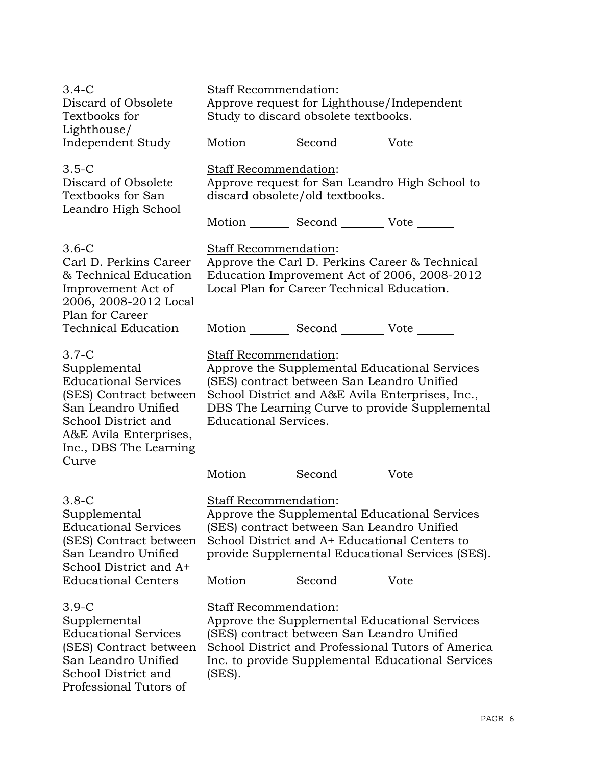| $3.4-C$<br>Discard of Obsolete<br>Textbooks for                                                                                                                                    | Staff Recommendation:<br>Approve request for Lighthouse/Independent<br>Study to discard obsolete textbooks. |                                                                                                                                                |                                                                                                                                                          |
|------------------------------------------------------------------------------------------------------------------------------------------------------------------------------------|-------------------------------------------------------------------------------------------------------------|------------------------------------------------------------------------------------------------------------------------------------------------|----------------------------------------------------------------------------------------------------------------------------------------------------------|
| Lighthouse/<br>Independent Study                                                                                                                                                   |                                                                                                             | Motion _________ Second __________ Vote _______                                                                                                |                                                                                                                                                          |
| $3.5-C$<br>Discard of Obsolete<br>Textbooks for San<br>Leandro High School                                                                                                         | Staff Recommendation:<br>Approve request for San Leandro High School to<br>discard obsolete/old textbooks.  |                                                                                                                                                |                                                                                                                                                          |
|                                                                                                                                                                                    |                                                                                                             | Motion _________ Second __________ Vote _______                                                                                                |                                                                                                                                                          |
| $3.6-C$<br>Carl D. Perkins Career<br>& Technical Education<br>Improvement Act of<br>2006, 2008-2012 Local                                                                          | Staff Recommendation:                                                                                       | Local Plan for Career Technical Education.                                                                                                     | Approve the Carl D. Perkins Career & Technical<br>Education Improvement Act of 2006, 2008-2012                                                           |
| Plan for Career<br><b>Technical Education</b>                                                                                                                                      |                                                                                                             | Motion _________ Second __________ Vote _______                                                                                                |                                                                                                                                                          |
| $3.7-C$<br>Supplemental<br><b>Educational Services</b><br>(SES) Contract between<br>San Leandro Unified<br>School District and<br>A&E Avila Enterprises,<br>Inc., DBS The Learning | Staff Recommendation:<br><b>Educational Services.</b>                                                       | (SES) contract between San Leandro Unified                                                                                                     | Approve the Supplemental Educational Services<br>School District and A&E Avila Enterprises, Inc.,<br>DBS The Learning Curve to provide Supplemental      |
| Curve                                                                                                                                                                              |                                                                                                             | Motion _________ Second __________ Vote _______                                                                                                |                                                                                                                                                          |
| $3.8-C$<br>Supplemental<br><b>Educational Services</b><br>(SES) Contract between<br>San Leandro Unified<br>School District and A+<br><b>Educational Centers</b>                    | Staff Recommendation:                                                                                       | (SES) contract between San Leandro Unified<br>School District and A+ Educational Centers to<br>Motion _________ Second __________ Vote _______ | Approve the Supplemental Educational Services<br>provide Supplemental Educational Services (SES).                                                        |
| $3.9-C$<br>Supplemental<br><b>Educational Services</b><br>(SES) Contract between<br>San Leandro Unified                                                                            | Staff Recommendation:                                                                                       | (SES) contract between San Leandro Unified                                                                                                     | Approve the Supplemental Educational Services<br>School District and Professional Tutors of America<br>Inc. to provide Supplemental Educational Services |

School District and Professional Tutors of (SES).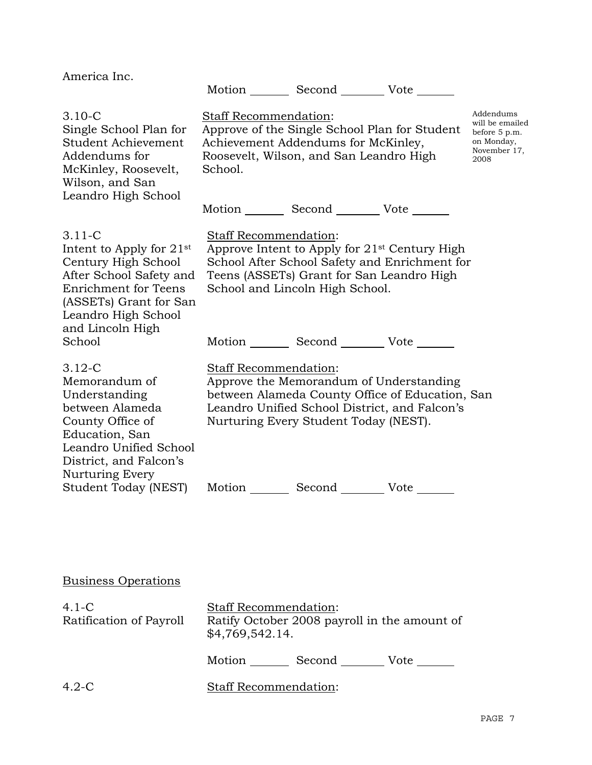| America Inc.                                                                                                                                                                                      | Motion _________ Second _________ Vote _______                                                                                                                                                                                                                         |                                                                                     |
|---------------------------------------------------------------------------------------------------------------------------------------------------------------------------------------------------|------------------------------------------------------------------------------------------------------------------------------------------------------------------------------------------------------------------------------------------------------------------------|-------------------------------------------------------------------------------------|
| $3.10 - C$<br>Single School Plan for<br>Student Achievement<br>Addendums for<br>McKinley, Roosevelt,<br>Wilson, and San<br>Leandro High School                                                    | Staff Recommendation:<br>Approve of the Single School Plan for Student<br>Achievement Addendums for McKinley,<br>Roosevelt, Wilson, and San Leandro High<br>School.                                                                                                    | Addendums<br>will be emailed<br>before 5 p.m.<br>on Monday,<br>November 17,<br>2008 |
|                                                                                                                                                                                                   | Motion _________ Second __________ Vote _______                                                                                                                                                                                                                        |                                                                                     |
| $3.11 - C$<br>Intent to Apply for $21st$<br>Century High School<br>After School Safety and<br>Enrichment for Teens<br>(ASSETs) Grant for San<br>Leandro High School<br>and Lincoln High<br>School | Staff Recommendation:<br>Approve Intent to Apply for 21 <sup>st</sup> Century High<br>School After School Safety and Enrichment for<br>Teens (ASSETs) Grant for San Leandro High<br>School and Lincoln High School.<br>Motion _________ Second __________ Vote _______ |                                                                                     |
| $3.12 - C$<br>Memorandum of<br>Understanding<br>between Alameda<br>County Office of<br>Education, San<br>Leandro Unified School<br>District, and Falcon's<br>Nurturing Every                      | Staff Recommendation:<br>Approve the Memorandum of Understanding<br>between Alameda County Office of Education, San<br>Leandro Unified School District, and Falcon's<br>Nurturing Every Student Today (NEST).                                                          |                                                                                     |
| Student Today (NEST)                                                                                                                                                                              | Motion Second Vote                                                                                                                                                                                                                                                     |                                                                                     |

# Business Operations

| $4.1 - C$<br>Ratification of Payroll | <b>Staff Recommendation:</b><br>Ratify October 2008 payroll in the amount of<br>\$4,769,542.14. |        |      |
|--------------------------------------|-------------------------------------------------------------------------------------------------|--------|------|
|                                      | Motion                                                                                          | Second | Vote |
| $4.2-C$                              | Staff Recommendation:                                                                           |        |      |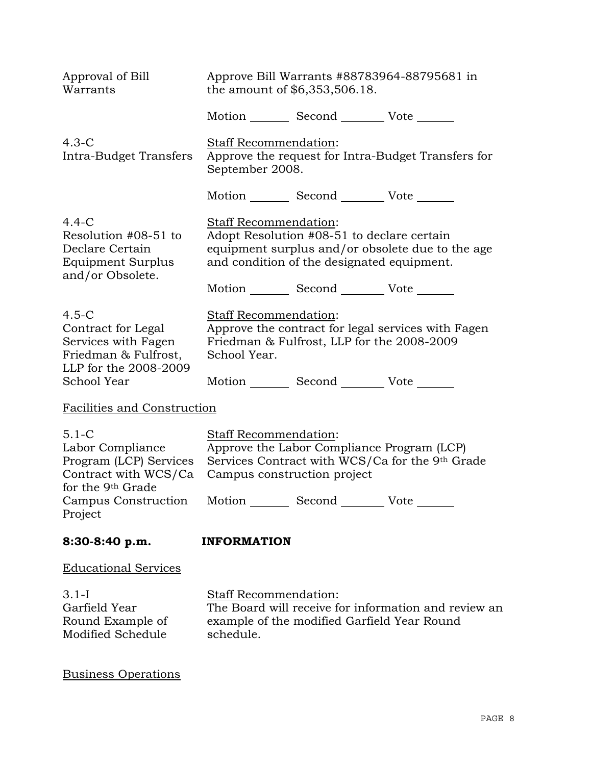| Approval of Bill<br>Warrants                                                                                         | Approve Bill Warrants #88783964-88795681 in<br>the amount of \$6,353,506.18.                                                                                                                                                 |  |
|----------------------------------------------------------------------------------------------------------------------|------------------------------------------------------------------------------------------------------------------------------------------------------------------------------------------------------------------------------|--|
|                                                                                                                      | Motion _________ Second __________ Vote _______                                                                                                                                                                              |  |
| $4.3-C$<br>Intra-Budget Transfers                                                                                    | Staff Recommendation:<br>Approve the request for Intra-Budget Transfers for<br>September 2008.                                                                                                                               |  |
|                                                                                                                      | Motion _________ Second __________ Vote _______                                                                                                                                                                              |  |
| $4.4-C$<br>Resolution #08-51 to<br>Declare Certain<br>Equipment Surplus<br>and/or Obsolete.                          | Staff Recommendation:<br>Adopt Resolution #08-51 to declare certain<br>equipment surplus and/or obsolete due to the age<br>and condition of the designated equipment.<br>Motion _________ Second __________ Vote _______     |  |
| $4.5-C$<br>Contract for Legal<br>Services with Fagen<br>Friedman & Fulfrost,<br>LLP for the 2008-2009<br>School Year | Staff Recommendation:<br>Approve the contract for legal services with Fagen<br>Friedman & Fulfrost, LLP for the 2008-2009<br>School Year.<br>Motion _________ Second __________ Vote _______                                 |  |
| Facilities and Construction                                                                                          |                                                                                                                                                                                                                              |  |
| $5.1 - C$<br>Labor Compliance<br>Program (LCP) Services<br>Contract with WCS/Ca<br>for the 9th Grade<br>Project      | Staff Recommendation:<br>Approve the Labor Compliance Program (LCP)<br>Services Contract with WCS/Ca for the 9th Grade<br>Campus construction project<br>Campus Construction Motion _________ Second __________ Vote _______ |  |
| 8:30-8:40 p.m.                                                                                                       | <b>INFORMATION</b>                                                                                                                                                                                                           |  |
| <b>Educational Services</b>                                                                                          |                                                                                                                                                                                                                              |  |
| $3.1 - I$<br>Garfield Year<br>Round Example of<br>Modified Schedule                                                  | <b>Staff Recommendation:</b><br>The Board will receive for information and review an<br>example of the modified Garfield Year Round<br>schedule.                                                                             |  |

Business Operations